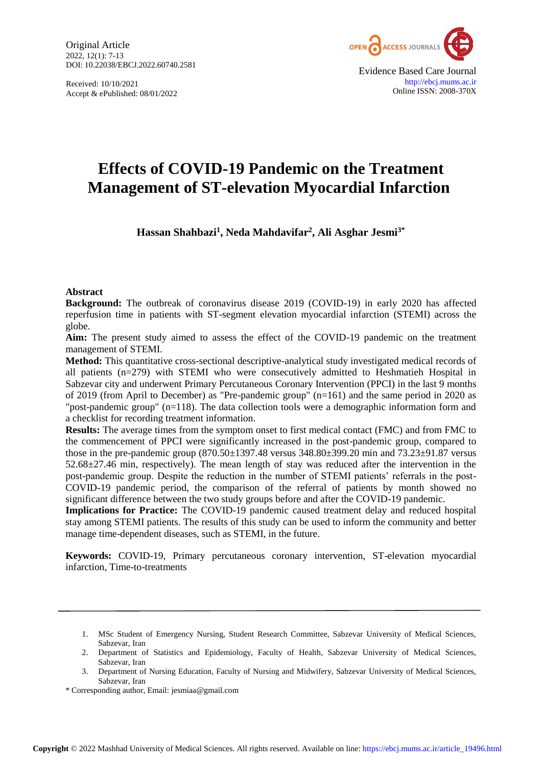Original Article 2022, 12(1): 7-13 DOI: 10.22038/EBCJ.2022.60740.2581

Received: 10/10/2021 Accept & ePublished: 08/01/2022



# **Effects of COVID-19 Pandemic on the Treatment Management of ST-elevation Myocardial Infarction**

**Hassan Shahbazi<sup>1</sup> , Neda Mahdavifar<sup>2</sup> , Ali Asghar Jesmi3\***

## **Abstract**

**Background:** The outbreak of coronavirus disease 2019 (COVID-19) in early 2020 has affected reperfusion time in patients with ST-segment elevation myocardial infarction (STEMI) across the globe.

**Aim:** The present study aimed to assess the effect of the COVID-19 pandemic on the treatment management of STEMI.

**Method:** This quantitative cross-sectional descriptive-analytical study investigated medical records of all patients (n=279) with STEMI who were consecutively admitted to Heshmatieh Hospital in Sabzevar city and underwent Primary Percutaneous Coronary Intervention (PPCI) in the last 9 months of 2019 (from April to December) as "Pre-pandemic group" (n=161) and the same period in 2020 as "post-pandemic group" (n=118). The data collection tools were a demographic information form and a checklist for recording treatment information.

**Results:** The average times from the symptom onset to first medical contact (FMC) and from FMC to the commencement of PPCI were significantly increased in the post-pandemic group, compared to those in the pre-pandemic group (870.50±1397.48 versus 348.80±399.20 min and 73.23±91.87 versus 52.68±27.46 min, respectively). The mean length of stay was reduced after the intervention in the post-pandemic group. Despite the reduction in the number of STEMI patients' referrals in the post-COVID-19 pandemic period, the comparison of the referral of patients by month showed no significant difference between the two study groups before and after the COVID-19 pandemic.

**Implications for Practice:** The COVID-19 pandemic caused treatment delay and reduced hospital stay among STEMI patients. The results of this study can be used to inform the community and better manage time-dependent diseases, such as STEMI, in the future.

**Keywords:** COVID-19, Primary percutaneous coronary intervention, ST-elevation myocardial infarction, Time-to-treatments

<sup>1.</sup> MSc Student of Emergency Nursing, Student Research Committee, Sabzevar University of Medical Sciences, Sabzevar, Iran

<sup>2.</sup> Department of Statistics and Epidemiology, Faculty of Health, Sabzevar University of Medical Sciences, Sabzevar, Iran

<sup>3.</sup> Department of Nursing Education, Faculty of Nursing and Midwifery, Sabzevar University of Medical Sciences, Sabzevar, Iran

<sup>\*</sup> Corresponding author, Email: jesmiaa@gmail.com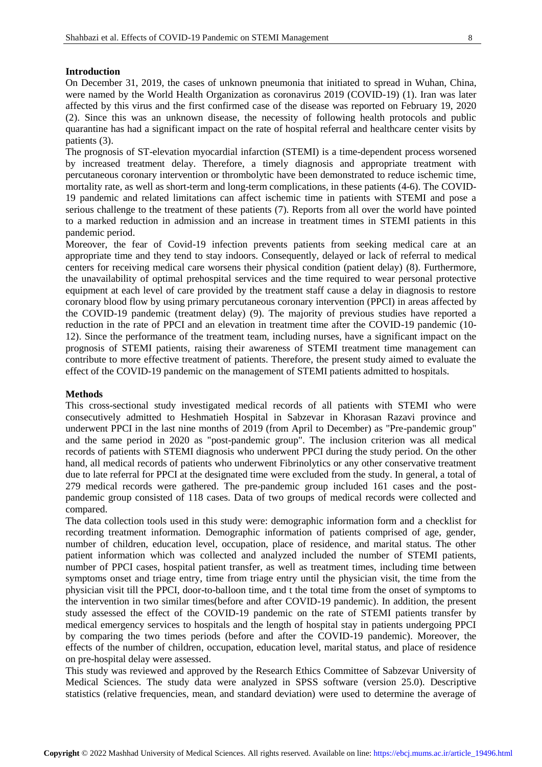### **Introduction**

On December 31, 2019, the cases of unknown pneumonia that initiated to spread in Wuhan, China, were named by the World Health Organization as coronavirus 2019 (COVID-19) [\(1\)](#page-5-0). Iran was later affected by this virus and the first confirmed case of the disease was reported on February 19, 2020 (2). Since this was an unknown disease, the necessity of following health protocols and public quarantine has had a significant impact on the rate of hospital referral and healthcare center visits by patients [\(3\)](#page-5-1).

The prognosis of ST-elevation myocardial infarction (STEMI) is a time-dependent process worsened by increased treatment delay. Therefore, a timely diagnosis and appropriate treatment with percutaneous coronary intervention or thrombolytic have been demonstrated to reduce ischemic time, mortality rate, as well as short-term and long-term complications, in these patients [\(4-6\)](#page-5-2). The COVID-19 pandemic and related limitations can affect ischemic time in patients with STEMI and pose a serious challenge to the treatment of these patients [\(7\)](#page-6-0). Reports from all over the world have pointed to a marked reduction in admission and an increase in treatment times in STEMI patients in this pandemic period.

Moreover, the fear of Covid-19 infection prevents patients from seeking medical care at an appropriate time and they tend to stay indoors. Consequently, delayed or lack of referral to medical centers for receiving medical care worsens their physical condition (patient delay) [\(8\)](#page-6-1). Furthermore, the unavailability of optimal prehospital services and the time required to wear personal protective equipment at each level of care provided by the treatment staff cause a delay in diagnosis to restore coronary blood flow by using primary percutaneous coronary intervention (PPCI) in areas affected by the COVID-19 pandemic (treatment delay) [\(9\)](#page-6-2). The majority of previous studies have reported a reduction in the rate of PPCI and an elevation in treatment time after the COVID-19 pandemic [\(10-](#page-6-3) [12\)](#page-6-3). Since the performance of the treatment team, including nurses, have a significant impact on the prognosis of STEMI patients, raising their awareness of STEMI treatment time management can contribute to more effective treatment of patients. Therefore, the present study aimed to evaluate the effect of the COVID-19 pandemic on the management of STEMI patients admitted to hospitals.

## **Methods**

This cross-sectional study investigated medical records of all patients with STEMI who were consecutively admitted to Heshmatieh Hospital in Sabzevar in Khorasan Razavi province and underwent PPCI in the last nine months of 2019 (from April to December) as "Pre-pandemic group" and the same period in 2020 as "post-pandemic group". The inclusion criterion was all medical records of patients with STEMI diagnosis who underwent PPCI during the study period. On the other hand, all medical records of patients who underwent Fibrinolytics or any other conservative treatment due to late referral for PPCI at the designated time were excluded from the study. In general, a total of 279 medical records were gathered. The pre-pandemic group included 161 cases and the postpandemic group consisted of 118 cases. Data of two groups of medical records were collected and compared.

The data collection tools used in this study were: demographic information form and a checklist for recording treatment information. Demographic information of patients comprised of age, gender, number of children, education level, occupation, place of residence, and marital status. The other patient information which was collected and analyzed included the number of STEMI patients, number of PPCI cases, hospital patient transfer, as well as treatment times, including time between symptoms onset and triage entry, time from triage entry until the physician visit, the time from the physician visit till the PPCI, door-to-balloon time, and t the total time from the onset of symptoms to the intervention in two similar times(before and after COVID-19 pandemic). In addition, the present study assessed the effect of the COVID-19 pandemic on the rate of STEMI patients transfer by medical emergency services to hospitals and the length of hospital stay in patients undergoing PPCI by comparing the two times periods (before and after the COVID-19 pandemic). Moreover, the effects of the number of children, occupation, education level, marital status, and place of residence on pre-hospital delay were assessed.

This study was reviewed and approved by the Research Ethics Committee of Sabzevar University of Medical Sciences. The study data were analyzed in SPSS software (version 25.0). Descriptive statistics (relative frequencies, mean, and standard deviation) were used to determine the average of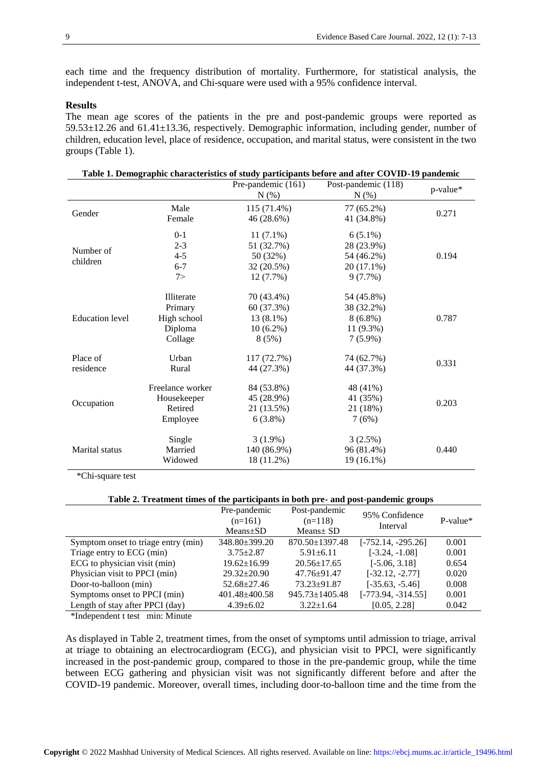each time and the frequency distribution of mortality. Furthermore, for statistical analysis, the independent t-test, ANOVA, and Chi-square were used with a 95% confidence interval.

## **Results**

The mean age scores of the patients in the pre and post-pandemic groups were reported as 59.53±12.26 and 61.41±13.36, respectively. Demographic information, including gender, number of children, education level, place of residence, occupation, and marital status, were consistent in the two groups (Table 1).

**Table 1. Demographic characteristics of study participants before and after COVID-19 pandemic**

|                        |                                                            | Pre-pandemic (161)<br>N(%)                                       | Table 1. Demographic characteristics of study participants before and after COVID-17 pandemic<br>Post-pandemic (118)<br>N(%) | p-value* |
|------------------------|------------------------------------------------------------|------------------------------------------------------------------|------------------------------------------------------------------------------------------------------------------------------|----------|
| Gender                 | Male<br>Female                                             | 115 (71.4%)<br>46 (28.6%)                                        | 77 (65.2%)<br>41 (34.8%)                                                                                                     | 0.271    |
| Number of<br>children  | $0 - 1$<br>$2 - 3$<br>$4 - 5$<br>$6 - 7$<br>7              | $11(7.1\%)$<br>51 (32.7%)<br>50 (32%)<br>32 (20.5%)<br>12 (7.7%) | $6(5.1\%)$<br>28 (23.9%)<br>54 (46.2%)<br>$20(17.1\%)$<br>9(7.7%)                                                            | 0.194    |
| <b>Education</b> level | Illiterate<br>Primary<br>High school<br>Diploma<br>Collage | 70 (43.4%)<br>60 (37.3%)<br>13 (8.1%)<br>$10(6.2\%)$<br>8(5%)    | 54 (45.8%)<br>38 (32.2%)<br>$8(6.8\%)$<br>11 (9.3%)<br>$7(5.9\%)$                                                            | 0.787    |
| Place of<br>residence  | Urban<br>Rural                                             | 117 (72.7%)<br>44 (27.3%)                                        | 74 (62.7%)<br>44 (37.3%)                                                                                                     | 0.331    |
| Occupation             | Freelance worker<br>Housekeeper<br>Retired<br>Employee     | 84 (53.8%)<br>45 (28.9%)<br>21 (13.5%)<br>$6(3.8\%)$             | 48 (41%)<br>41 (35%)<br>21 (18%)<br>7(6%)                                                                                    | 0.203    |
| <b>Marital</b> status  | Single<br>Married<br>Widowed                               | $3(1.9\%)$<br>140 (86.9%)<br>18 (11.2%)                          | 3(2.5%)<br>96 (81.4%)<br>19 (16.1%)                                                                                          | 0.440    |

\*Chi-square test

#### **Table 2. Treatment times of the participants in both pre- and post-pandemic groups**

|                                     | Pre-pandemic<br>$(n=161)$<br>$Means + SD$ | Post-pandemic<br>$(n=118)$<br>$Means \pm SD$ | 95% Confidence<br>Interval | $P-value*$ |
|-------------------------------------|-------------------------------------------|----------------------------------------------|----------------------------|------------|
| Symptom onset to triage entry (min) | $348.80 \pm 399.20$                       | 870.50±1397.48                               | $[-752.14, -295.26]$       | 0.001      |
| Triage entry to ECG (min)           | $3.75 + 2.87$                             | $5.91 \pm 6.11$                              | $[-3.24, -1.08]$           | 0.001      |
| ECG to physician visit (min)        | $19.62 \pm 16.99$                         | $20.56 \pm 17.65$                            | $[-5.06, 3.18]$            | 0.654      |
| Physician visit to PPCI (min)       | $29.32 \pm 20.90$                         | $47.76 \pm 91.47$                            | $[-32.12, -2.77]$          | 0.020      |
| Door-to-balloon (min)               | $52.68 \pm 27.46$                         | $73.23 \pm 91.87$                            | $[-35.63, -5.46]$          | 0.008      |
| Symptoms onset to PPCI (min)        | $401.48 + 400.58$                         | $945.73 \pm 1405.48$                         | $[-773.94, -314.55]$       | 0.001      |
| Length of stay after PPCI (day)     | $4.39 \pm 6.02$                           | $3.22 \pm 1.64$                              | [0.05, 2.28]               | 0.042      |

\*Independent t test min: Minute

As displayed in Table 2, treatment times, from the onset of symptoms until admission to triage, arrival at triage to obtaining an electrocardiogram (ECG), and physician visit to PPCI, were significantly increased in the post-pandemic group, compared to those in the pre-pandemic group, while the time between ECG gathering and physician visit was not significantly different before and after the COVID-19 pandemic. Moreover, overall times, including door-to-balloon time and the time from the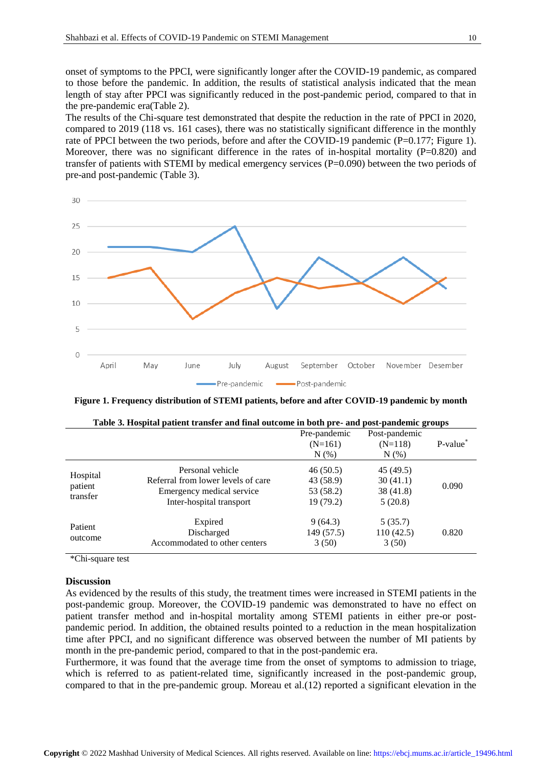onset of symptoms to the PPCI, were significantly longer after the COVID-19 pandemic, as compared to those before the pandemic. In addition, the results of statistical analysis indicated that the mean length of stay after PPCI was significantly reduced in the post-pandemic period, compared to that in the pre-pandemic era(Table 2).

The results of the Chi-square test demonstrated that despite the reduction in the rate of PPCI in 2020, compared to 2019 (118 vs. 161 cases), there was no statistically significant difference in the monthly rate of PPCI between the two periods, before and after the COVID-19 pandemic (P=0.177; Figure 1). Moreover, there was no significant difference in the rates of in-hospital mortality  $(P=0.820)$  and transfer of patients with STEMI by medical emergency services  $(P=0.090)$  between the two periods of pre-and post-pandemic (Table 3).



**Figure 1. Frequency distribution of STEMI patients, before and after COVID-19 pandemic by month**

|                                 |                                                                                                                 | Pre-pandemic<br>$(N=161)$<br>$N(\%)$            | Post-pandemic<br>$(N=118)$<br>$N(\%)$        | P-value* |
|---------------------------------|-----------------------------------------------------------------------------------------------------------------|-------------------------------------------------|----------------------------------------------|----------|
| Hospital<br>patient<br>transfer | Personal vehicle<br>Referral from lower levels of care<br>Emergency medical service<br>Inter-hospital transport | 46(50.5)<br>43 (58.9)<br>53 (58.2)<br>19 (79.2) | 45 (49.5)<br>30(41.1)<br>38(41.8)<br>5(20.8) | 0.090    |
| Patient<br>outcome              | Expired<br>Discharged<br>Accommodated to other centers                                                          | 9(64.3)<br>149 (57.5)<br>3(50)                  | 5(35.7)<br>110(42.5)<br>3(50)                | 0.820    |

|  |  | Table 3. Hospital patient transfer and final outcome in both pre- and post-pandemic groups |  |  |  |
|--|--|--------------------------------------------------------------------------------------------|--|--|--|
|--|--|--------------------------------------------------------------------------------------------|--|--|--|

\*Chi-square test

## **Discussion**

As evidenced by the results of this study, the treatment times were increased in STEMI patients in the post-pandemic group. Moreover, the COVID-19 pandemic was demonstrated to have no effect on patient transfer method and in-hospital mortality among STEMI patients in either pre-or postpandemic period. In addition, the obtained results pointed to a reduction in the mean hospitalization time after PPCI, and no significant difference was observed between the number of MI patients by month in the pre-pandemic period, compared to that in the post-pandemic era.

Furthermore, it was found that the average time from the onset of symptoms to admission to triage, which is referred to as patient-related time, significantly increased in the post-pandemic group, compared to that in the pre-pandemic group. Moreau et al.[\(12\)](#page-6-4) reported a significant elevation in the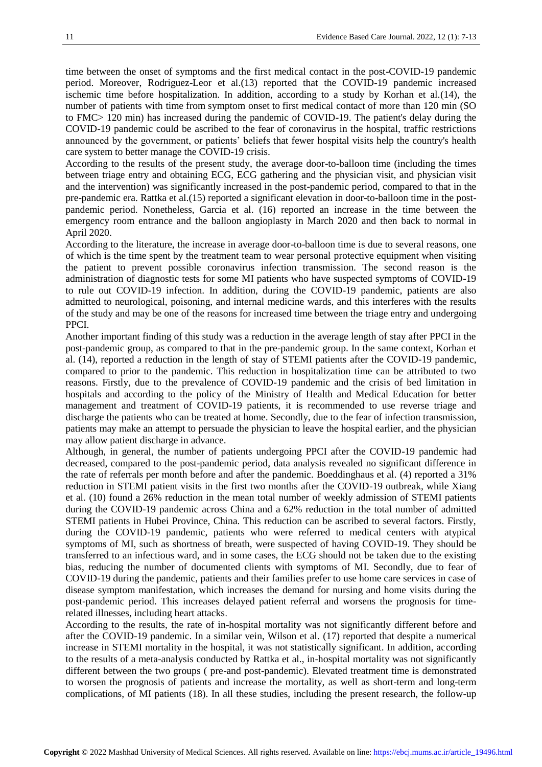time between the onset of symptoms and the first medical contact in the post-COVID-19 pandemic period. Moreover, Rodriguez-Leor et al.[\(13\)](#page-6-5) reported that the COVID-19 pandemic increased ischemic time before hospitalization. In addition, according to a study by Korhan et al.[\(14\)](#page-6-6), the number of patients with time from symptom onset to first medical contact of more than 120 min (SO to FMC> 120 min) has increased during the pandemic of COVID-19. The patient's delay during the COVID-19 pandemic could be ascribed to the fear of coronavirus in the hospital, traffic restrictions announced by the government, or patients' beliefs that fewer hospital visits help the country's health care system to better manage the COVID-19 crisis.

According to the results of the present study, the average door-to-balloon time (including the times between triage entry and obtaining ECG, ECG gathering and the physician visit, and physician visit and the intervention) was significantly increased in the post-pandemic period, compared to that in the pre-pandemic era. Rattka et al.[\(15\)](#page-6-7) reported a significant elevation in door-to-balloon time in the postpandemic period. Nonetheless, Garcia et al. [\(16\)](#page-6-8) reported an increase in the time between the emergency room entrance and the balloon angioplasty in March 2020 and then back to normal in April 2020.

According to the literature, the increase in average door-to-balloon time is due to several reasons, one of which is the time spent by the treatment team to wear personal protective equipment when visiting the patient to prevent possible coronavirus infection transmission. The second reason is the administration of diagnostic tests for some MI patients who have suspected symptoms of COVID-19 to rule out COVID-19 infection. In addition, during the COVID-19 pandemic, patients are also admitted to neurological, poisoning, and internal medicine wards, and this interferes with the results of the study and may be one of the reasons for increased time between the triage entry and undergoing PPCI.

Another important finding of this study was a reduction in the average length of stay after PPCI in the post-pandemic group, as compared to that in the pre-pandemic group. In the same context, Korhan et al. [\(14\)](#page-6-6), reported a reduction in the length of stay of STEMI patients after the COVID-19 pandemic, compared to prior to the pandemic. This reduction in hospitalization time can be attributed to two reasons. Firstly, due to the prevalence of COVID-19 pandemic and the crisis of bed limitation in hospitals and according to the policy of the Ministry of Health and Medical Education for better management and treatment of COVID-19 patients, it is recommended to use reverse triage and discharge the patients who can be treated at home. Secondly, due to the fear of infection transmission, patients may make an attempt to persuade the physician to leave the hospital earlier, and the physician may allow patient discharge in advance.

Although, in general, the number of patients undergoing PPCI after the COVID-19 pandemic had decreased, compared to the post-pandemic period, data analysis revealed no significant difference in the rate of referrals per month before and after the pandemic. Boeddinghaus et al. [\(4\)](#page-5-2) reported a 31% reduction in STEMI patient visits in the first two months after the COVID-19 outbreak, while Xiang et al. [\(10\)](#page-6-3) found a 26% reduction in the mean total number of weekly admission of STEMI patients during the COVID-19 pandemic across China and a 62% reduction in the total number of admitted STEMI patients in Hubei Province, China. This reduction can be ascribed to several factors. Firstly, during the COVID-19 pandemic, patients who were referred to medical centers with atypical symptoms of MI, such as shortness of breath, were suspected of having COVID-19. They should be transferred to an infectious ward, and in some cases, the ECG should not be taken due to the existing bias, reducing the number of documented clients with symptoms of MI. Secondly, due to fear of COVID-19 during the pandemic, patients and their families prefer to use home care services in case of disease symptom manifestation, which increases the demand for nursing and home visits during the post-pandemic period. This increases delayed patient referral and worsens the prognosis for timerelated illnesses, including heart attacks.

According to the results, the rate of in-hospital mortality was not significantly different before and after the COVID-19 pandemic. In a similar vein, Wilson et al. [\(17\)](#page-6-9) reported that despite a numerical increase in STEMI mortality in the hospital, it was not statistically significant. In addition, according to the results of a meta-analysis conducted by Rattka et al., in-hospital mortality was not significantly different between the two groups ( pre-and post-pandemic). Elevated treatment time is demonstrated to worsen the prognosis of patients and increase the mortality, as well as short-term and long-term complications, of MI patients [\(18\)](#page-6-10). In all these studies, including the present research, the follow-up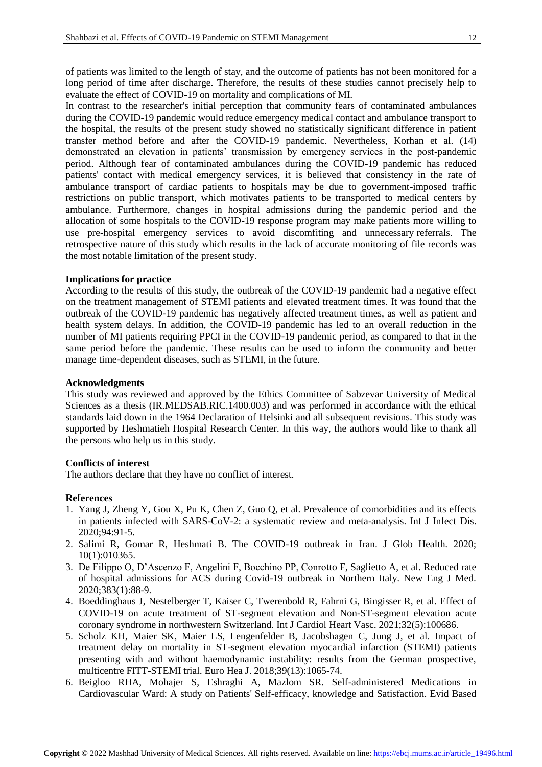of patients was limited to the length of stay, and the outcome of patients has not been monitored for a long period of time after discharge. Therefore, the results of these studies cannot precisely help to evaluate the effect of COVID-19 on mortality and complications of MI.

In contrast to the researcher's initial perception that community fears of contaminated ambulances during the COVID-19 pandemic would reduce emergency medical contact and ambulance transport to the hospital, the results of the present study showed no statistically significant difference in patient transfer method before and after the COVID-19 pandemic. Nevertheless, Korhan et al. [\(14\)](#page-6-6) demonstrated an elevation in patients' transmission by emergency services in the post-pandemic period. Although fear of contaminated ambulances during the COVID-19 pandemic has reduced patients' contact with medical emergency services, it is believed that consistency in the rate of ambulance transport of cardiac patients to hospitals may be due to government-imposed traffic restrictions on public transport, which motivates patients to be transported to medical centers by ambulance. Furthermore, changes in hospital admissions during the pandemic period and the allocation of some hospitals to the COVID-19 response program may make patients more willing to use pre-hospital emergency services to avoid discomfiting and unnecessary referrals. The retrospective nature of this study which results in the lack of accurate monitoring of file records was the most notable limitation of the present study.

## **Implications for practice**

According to the results of this study, the outbreak of the COVID-19 pandemic had a negative effect on the treatment management of STEMI patients and elevated treatment times. It was found that the outbreak of the COVID-19 pandemic has negatively affected treatment times, as well as patient and health system delays. In addition, the COVID-19 pandemic has led to an overall reduction in the number of MI patients requiring PPCI in the COVID-19 pandemic period, as compared to that in the same period before the pandemic. These results can be used to inform the community and better manage time-dependent diseases, such as STEMI, in the future.

#### **Acknowledgments**

This study was reviewed and approved by the Ethics Committee of Sabzevar University of Medical Sciences as a thesis (IR.MEDSAB.RIC.1400.003) and was performed in accordance with the ethical standards laid down in the 1964 Declaration of Helsinki and all subsequent revisions. This study was supported by Heshmatieh Hospital Research Center. In this way, the authors would like to thank all the persons who help us in this study.

## **Conflicts of interest**

The authors declare that they have no conflict of interest.

#### **References**

- <span id="page-5-0"></span>1. Yang J, Zheng Y, Gou X, Pu K, Chen Z, Guo Q, et al. Prevalence of comorbidities and its effects in patients infected with SARS-CoV-2: a systematic review and meta-analysis. Int J Infect Dis. 2020;94:91-5.
- 2. Salimi R, Gomar R, Heshmati B. The COVID-19 outbreak in Iran. J Glob Health. 2020; 10(1):010365.
- <span id="page-5-1"></span>3. De Filippo O, D'Ascenzo F, Angelini F, Bocchino PP, Conrotto F, Saglietto A, et al. Reduced rate of hospital admissions for ACS during Covid-19 outbreak in Northern Italy. New Eng J Med. 2020;383(1):88-9.
- <span id="page-5-2"></span>4. Boeddinghaus J, Nestelberger T, Kaiser C, Twerenbold R, Fahrni G, Bingisser R, et al. Effect of COVID-19 on acute treatment of ST-segment elevation and Non-ST-segment elevation acute coronary syndrome in northwestern Switzerland. Int J Cardiol Heart Vasc. 2021;32(5):100686.
- 5. Scholz KH, Maier SK, Maier LS, Lengenfelder B, Jacobshagen C, Jung J, et al. Impact of treatment delay on mortality in ST-segment elevation myocardial infarction (STEMI) patients presenting with and without haemodynamic instability: results from the German prospective, multicentre FITT-STEMI trial. Euro Hea J. 2018;39(13):1065-74.
- 6. Beigloo RHA, Mohajer S, Eshraghi A, Mazlom SR. Self-administered Medications in Cardiovascular Ward: A study on Patients' Self-efficacy, knowledge and Satisfaction. Evid Based